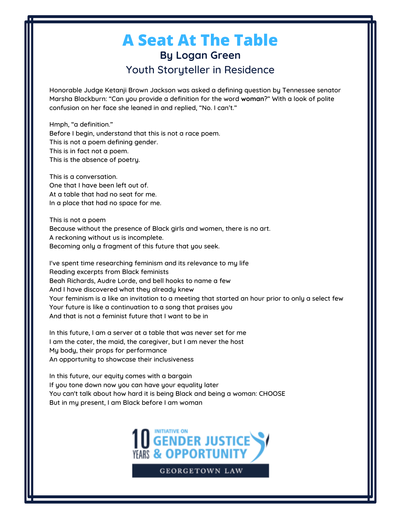## **A Seat At The Table By Logan Green** Youth Storyteller in Residence

Honorable Judge Ketanji Brown Jackson was asked a defining question by Tennessee senator Marsha Blackburn: "Can you provide a definition for the word **woman**?" With a look of polite confusion on her face she leaned in and replied, "No. I can't."

Hmph, "a definition." Before I begin, understand that this is not a race poem. This is not a poem defining gender. This is in fact not a poem. This is the absence of poetry.

This is a conversation. One that I have been left out of. At a table that had no seat for me. In a place that had no space for me.

This is not a poem Because without the presence of Black girls and women, there is no art. A reckoning without us is incomplete. Becoming only a fragment of this future that you seek.

I've spent time researching feminism and its relevance to my life Reading excerpts from Black feminists Beah Richards, Audre Lorde, and bell hooks to name a few And I have discovered what they already knew Your feminism is a like an invitation to a meeting that started an hour prior to only a select few Your future is like a continuation to a song that praises you And that is not a feminist future that I want to be in

In this future, I am a server at a table that was never set for me I am the cater, the maid, the caregiver, but I am never the host My body, their props for performance An opportunity to showcase their inclusiveness

In this future, our equity comes with a bargain If you tone down now you can have your equality later You can't talk about how hard it is being Black and being a woman: CHOOSE But in my present, I am Black before I am woman



**GEORGETOWN LAW**